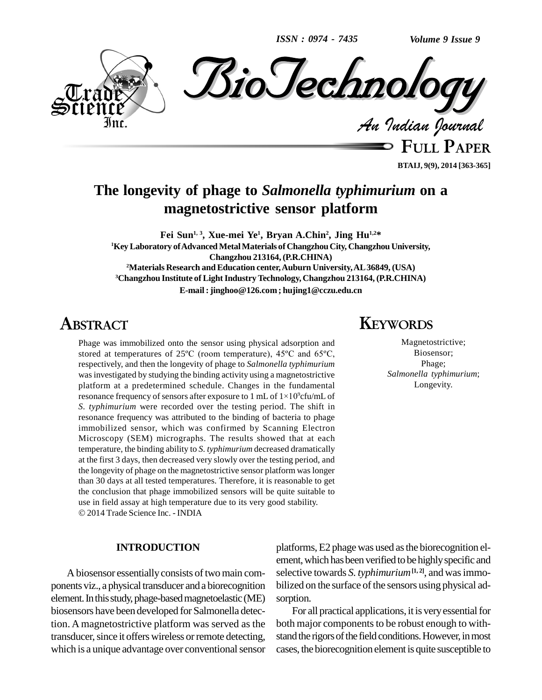*ISSN : 0974 - 7435*



**BTAIJ, 9(9), 2014 [363-365]**

# **The longevity of phage to** *Salmonella typhimurium* **on a magnetostrictive sensor platform**

**Fei Sun 1, 3 , Xue-mei Ye 1 , Bryan A.Chin 2 , Jing Hu 1,2\* <sup>1</sup>KeyLaboratory ofAdvancedMetalMaterials of ChangzhouCity, Changzhou University, Changzhou 213164,(P.R.CHINA) <sup>2</sup>Materials Research andEducation center,Auburn University,AL36849, (USA) <sup>3</sup>Changzhou Institute of LightIndustryTechnology, Changzhou 213164, (P.R.CHINA) E-mail :[jinghoo@126.com](mailto:jinghoo@126.com) ; [hujing1@cczu.edu.cn](mailto:hujing1@cczu.edu.cn)**

# **ABSTRACT**

Phage was immobilized onto the sensor using physical adsorption and Phage was immobilized onto the sensor using physical adsorption and stored at temperatures of  $25^{\circ}$ C (room temperature),  $45^{\circ}$ C and  $65^{\circ}$ C, respectively, and then the longevity of phage to *Salmonella typhimurium* was investigated by studying the binding activity using a magnetostrictive platform at a predetermined schedule. Changes in the fundamental resonance frequency of sensors after exposure to 1 mL of  $1 \times 10^9$ cfu/mL of platform at a predetermined schedule. Changes in the fundamental resonance frequency of sensors after exposure to 1 mL of  $1 \times 10^9$ cfu/mL of *S. typhimurium* were recorded over the testing period. The shift in resonance frequency was attributed to the binding of bacteria to phage immobilized sensor, which was confirmed by Scanning Electron Microscopy (SEM) micrographs. The results showed that at each temperature, the binding ability to *S. typhimurium* decreased dramatically at the first 3 days, then decreased very slowly over the testing period, and the longevity of phage on the magnetostrictive sensor platform was longer than 30 days at all tested temperatures. Therefore, it is reasonable to get the conclusion that phage immobilized sensors will be quite suitable to use in field assay at high temperature due to its very good stability. 2014 Trade Science Inc. - INDIA

#### **INTRODUCTION**

A biosensor essentially consists of two main components viz., a physical transducer anda biorecognition element. In this study, phage-based magnetoelastic (ME) biosensors have been developed for Salmonella detection. A magnetostrictive platform was served as the transducer, since it offers wireless or remote detecting, which is a unique advantage over conventional sensor

# **KEYWORDS**

Magnetostrictive; Biosensor; Phage; *Salmonella typhimurium*; Longevity.

platforms,E2 phage was used asthe biorecognition el ement, which has been verified to be highly specific and selective towards *S. typhimurium***[1, 2]**, and wasimmo bilized on the surface of the sensors using physical adsorption.

For all practical applications, it is very essential for both major components to be robust enough to withstand the rigors of the field conditions. However, in most cases, the biorecognition element is quite susceptible to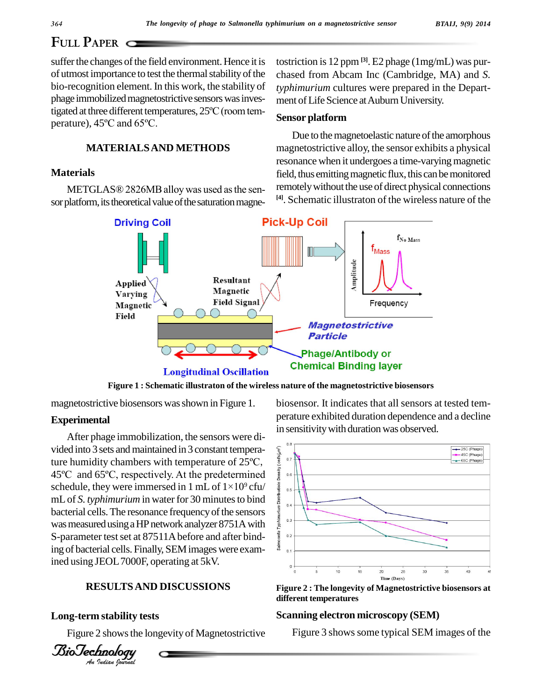# **FULL PAPER**

suffer the changes of the field environment. Hence it is of utmost importance to test the thermal stability of the bio-recognition element. In this work, the stability of typh<br>phage immobilized magnetostrictive sensors was inves-<br>tigated at three different temperatures,  $25^{\circ}C$  (room temphage immobilized magnetostrictive sensors was inves-<br>tigated at three different temperatures,  $25^{\circ}C$  (room tem-<br>perature),  $45^{\circ}C$  and  $65^{\circ}C$ .

### **MATERIALSAND METHODS**

### **Materials**

METGLAS® 2826MB alloy was used as the sensor platform, its theoretical value of the saturation magnetostriction is12 ppm **[3]**. E2 phage (1mg/mL) was pur chased from Abcam Inc (Cambridge, MA) and *S. typhimurium* cultures were prepared in the Depart ment of Life Science at Auburn University.

#### **Sensor platform**

Due to the magnetoelastic nature of the amorphous magnetostrictive alloy, the sensor exhibits a physical resonance when it undergoes a time-varying magnetic field, thus emitting magnetic flux, this can be monitored remotely without the use of direct physical connections **[4]**. Schematic illustraton of the wireless nature of the



**Figure 1 : Schematic illustraton of the wireless nature of the magnetostrictive biosensors**

magnetostrictive biosensors was shown in Figure 1.

#### **Experimental**

ing of bacterial cells. Finally, SEM images were exam-<br>ined using IEOL 7000E operating at 5kV After phage immobilization, the sensors were di vided into 3 sets and maintained in 3 constant tempera-After phage immobilization, the sensors were divided into 3 sets and maintained in 3 constant temperature  $\frac{1}{2}$  or  $\frac{1}{2}$ vided into 3 sets and maintained in 3 constant tempera-<br>ture humidity chambers with temperature of 25<sup>o</sup>C,<br>45<sup>o</sup>C and 65<sup>o</sup>C, respectively. At the predetermined ture humidity chambers with temperature of 25°C,<br>45°C and 65°C, respectively. At the predetermined<br>schedule, they were immersed in 1 mL of  $1 \times 10^9$  cfu/ 45°C and 65°C, respectively. At the predetermined<br>schedule, they were immersed in 1 mL of  $1 \times 10^9$  cfu/<br>mL of *S. typhimurium* in water for 30 minutes to bind<br>bacterial cells. The resonance frequency of the sensors<br>was mL of *S. typhimurium* in water for 30 minutes to bind  $\frac{1}{2}$ bacterial cells. The resonance frequency of the sensors  $\frac{1}{2}$ was measured using a HP network analyzer 8751A with<br>S-parameter test set at 87511A before and after bind-S-parameter test set at 87511A before and after bindined using JEOL7000F, operating at 5kV.

### *An***RESULTSAND DISCUSSIONS**

#### **Long-term stability tests**

Figure 2 showsthe longevity of Magnetostrictive

*BioTechnology*<br>An *Indian Journal* 

biosensor*.* It indicates that all sensors at tested tem perature exhibited duration dependence and a decline in sensitivity with duration was observed.



**Figure 2 : The longevity of Magnetostrictive biosensors at different temperatures**

#### **Scanning electron microscopy (SEM)**

Figure 3 shows some typical SEM images of the